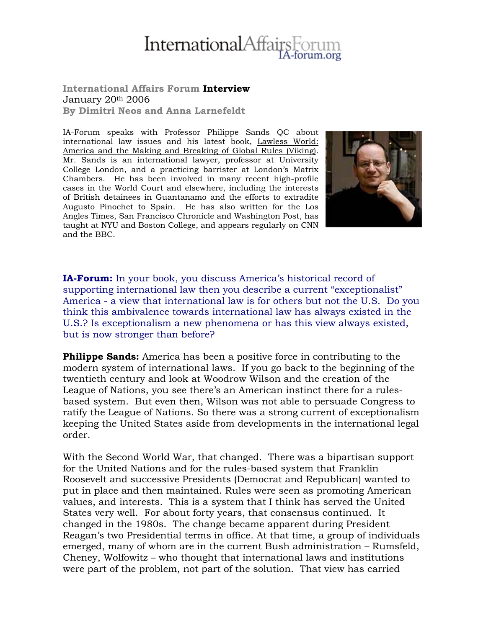# **International**Affair

#### **International Affairs Forum Interview** January 20th 2006 **By Dimitri Neos and Anna Larnefeldt**

IA-Forum speaks with Professor Philippe Sands QC about international law issues and his latest book, Lawless World: America and the Making and Breaking of Global Rules (Viking). Mr. Sands is an international lawyer, professor at University College London, and a practicing barrister at London's Matrix Chambers. He has been involved in many recent high-profile cases in the World Court and elsewhere, including the interests of British detainees in Guantanamo and the efforts to extradite Augusto Pinochet to Spain. He has also written for the Los Angles Times, San Francisco Chronicle and Washington Post, has taught at NYU and Boston College, and appears regularly on CNN and the BBC.



**IA-Forum:** In your book, you discuss America's historical record of supporting international law then you describe a current "exceptionalist" America - a view that international law is for others but not the U.S. Do you think this ambivalence towards international law has always existed in the U.S.? Is exceptionalism a new phenomena or has this view always existed, but is now stronger than before?

**Philippe Sands:** America has been a positive force in contributing to the modern system of international laws. If you go back to the beginning of the twentieth century and look at Woodrow Wilson and the creation of the League of Nations, you see there's an American instinct there for a rulesbased system. But even then, Wilson was not able to persuade Congress to ratify the League of Nations. So there was a strong current of exceptionalism keeping the United States aside from developments in the international legal order.

With the Second World War, that changed. There was a bipartisan support for the United Nations and for the rules-based system that Franklin Roosevelt and successive Presidents (Democrat and Republican) wanted to put in place and then maintained. Rules were seen as promoting American values, and interests. This is a system that I think has served the United States very well. For about forty years, that consensus continued. It changed in the 1980s. The change became apparent during President Reagan's two Presidential terms in office. At that time, a group of individuals emerged, many of whom are in the current Bush administration – Rumsfeld, Cheney, Wolfowitz – who thought that international laws and institutions were part of the problem, not part of the solution. That view has carried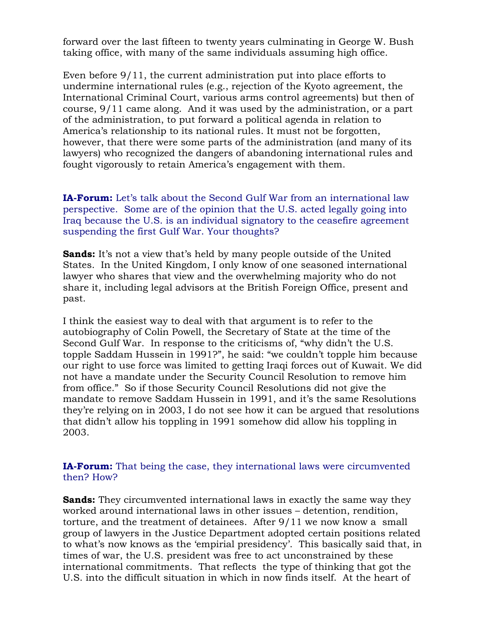forward over the last fifteen to twenty years culminating in George W. Bush taking office, with many of the same individuals assuming high office.

Even before 9/11, the current administration put into place efforts to undermine international rules (e.g., rejection of the Kyoto agreement, the International Criminal Court, various arms control agreements) but then of course, 9/11 came along. And it was used by the administration, or a part of the administration, to put forward a political agenda in relation to America's relationship to its national rules. It must not be forgotten, however, that there were some parts of the administration (and many of its lawyers) who recognized the dangers of abandoning international rules and fought vigorously to retain America's engagement with them.

**IA-Forum:** Let's talk about the Second Gulf War from an international law perspective. Some are of the opinion that the U.S. acted legally going into Iraq because the U.S. is an individual signatory to the ceasefire agreement suspending the first Gulf War. Your thoughts?

**Sands:** It's not a view that's held by many people outside of the United States. In the United Kingdom, I only know of one seasoned international lawyer who shares that view and the overwhelming majority who do not share it, including legal advisors at the British Foreign Office, present and past.

I think the easiest way to deal with that argument is to refer to the autobiography of Colin Powell, the Secretary of State at the time of the Second Gulf War. In response to the criticisms of, "why didn't the U.S. topple Saddam Hussein in 1991?", he said: "we couldn't topple him because our right to use force was limited to getting Iraqi forces out of Kuwait. We did not have a mandate under the Security Council Resolution to remove him from office." So if those Security Council Resolutions did not give the mandate to remove Saddam Hussein in 1991, and it's the same Resolutions they're relying on in 2003, I do not see how it can be argued that resolutions that didn't allow his toppling in 1991 somehow did allow his toppling in 2003.

#### **IA-Forum:** That being the case, they international laws were circumvented then? How?

**Sands:** They circumvented international laws in exactly the same way they worked around international laws in other issues – detention, rendition, torture, and the treatment of detainees. After 9/11 we now know a small group of lawyers in the Justice Department adopted certain positions related to what's now knows as the 'empirial presidency'. This basically said that, in times of war, the U.S. president was free to act unconstrained by these international commitments. That reflects the type of thinking that got the U.S. into the difficult situation in which in now finds itself. At the heart of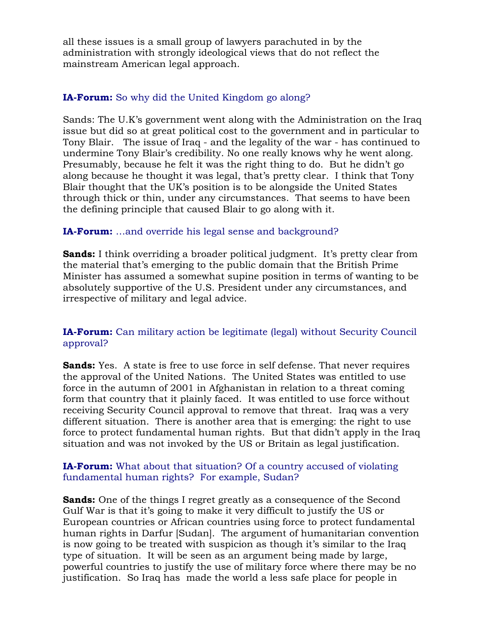all these issues is a small group of lawyers parachuted in by the administration with strongly ideological views that do not reflect the mainstream American legal approach.

# **IA-Forum:** So why did the United Kingdom go along?

Sands: The U.K's government went along with the Administration on the Iraq issue but did so at great political cost to the government and in particular to Tony Blair. The issue of Iraq - and the legality of the war - has continued to undermine Tony Blair's credibility. No one really knows why he went along. Presumably, because he felt it was the right thing to do. But he didn't go along because he thought it was legal, that's pretty clear. I think that Tony Blair thought that the UK's position is to be alongside the United States through thick or thin, under any circumstances. That seems to have been the defining principle that caused Blair to go along with it.

# **IA-Forum:** …and override his legal sense and background?

**Sands:** I think overriding a broader political judgment. It's pretty clear from the material that's emerging to the public domain that the British Prime Minister has assumed a somewhat supine position in terms of wanting to be absolutely supportive of the U.S. President under any circumstances, and irrespective of military and legal advice.

# **IA-Forum:** Can military action be legitimate (legal) without Security Council approval?

**Sands:** Yes. A state is free to use force in self defense. That never requires the approval of the United Nations. The United States was entitled to use force in the autumn of 2001 in Afghanistan in relation to a threat coming form that country that it plainly faced. It was entitled to use force without receiving Security Council approval to remove that threat. Iraq was a very different situation. There is another area that is emerging: the right to use force to protect fundamental human rights. But that didn't apply in the Iraq situation and was not invoked by the US or Britain as legal justification.

#### **IA-Forum:** What about that situation? Of a country accused of violating fundamental human rights? For example, Sudan?

**Sands:** One of the things I regret greatly as a consequence of the Second Gulf War is that it's going to make it very difficult to justify the US or European countries or African countries using force to protect fundamental human rights in Darfur [Sudan]. The argument of humanitarian convention is now going to be treated with suspicion as though it's similar to the Iraq type of situation. It will be seen as an argument being made by large, powerful countries to justify the use of military force where there may be no justification. So Iraq has made the world a less safe place for people in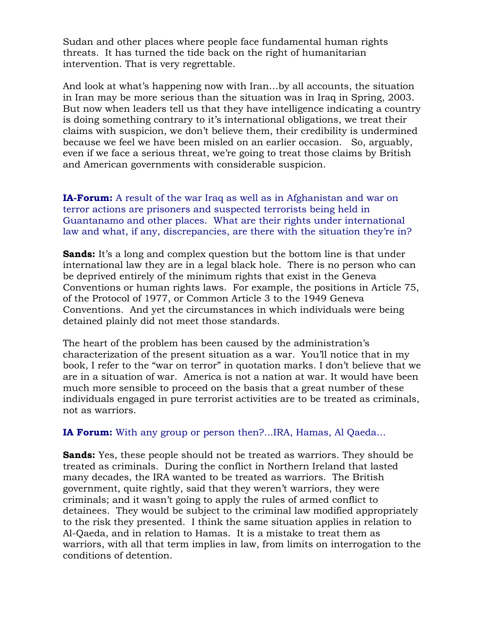Sudan and other places where people face fundamental human rights threats. It has turned the tide back on the right of humanitarian intervention. That is very regrettable.

And look at what's happening now with Iran…by all accounts, the situation in Iran may be more serious than the situation was in Iraq in Spring, 2003. But now when leaders tell us that they have intelligence indicating a country is doing something contrary to it's international obligations, we treat their claims with suspicion, we don't believe them, their credibility is undermined because we feel we have been misled on an earlier occasion. So, arguably, even if we face a serious threat, we're going to treat those claims by British and American governments with considerable suspicion.

**IA-Forum:** A result of the war Iraq as well as in Afghanistan and war on terror actions are prisoners and suspected terrorists being held in Guantanamo and other places. What are their rights under international law and what, if any, discrepancies, are there with the situation they're in?

**Sands:** It's a long and complex question but the bottom line is that under international law they are in a legal black hole. There is no person who can be deprived entirely of the minimum rights that exist in the Geneva Conventions or human rights laws. For example, the positions in Article 75, of the Protocol of 1977, or Common Article 3 to the 1949 Geneva Conventions. And yet the circumstances in which individuals were being detained plainly did not meet those standards.

The heart of the problem has been caused by the administration's characterization of the present situation as a war. You'll notice that in my book, I refer to the "war on terror" in quotation marks. I don't believe that we are in a situation of war. America is not a nation at war. It would have been much more sensible to proceed on the basis that a great number of these individuals engaged in pure terrorist activities are to be treated as criminals, not as warriors.

**IA Forum:** With any group or person then?...IRA, Hamas, Al Qaeda…

**Sands:** Yes, these people should not be treated as warriors. They should be treated as criminals. During the conflict in Northern Ireland that lasted many decades, the IRA wanted to be treated as warriors. The British government, quite rightly, said that they weren't warriors, they were criminals; and it wasn't going to apply the rules of armed conflict to detainees. They would be subject to the criminal law modified appropriately to the risk they presented. I think the same situation applies in relation to Al-Qaeda, and in relation to Hamas. It is a mistake to treat them as warriors, with all that term implies in law, from limits on interrogation to the conditions of detention.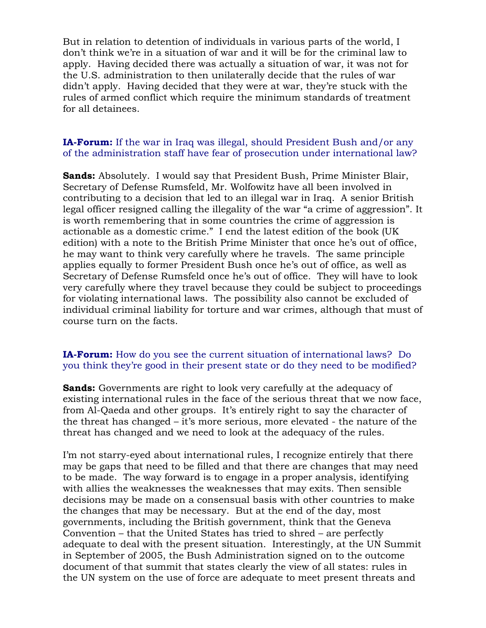But in relation to detention of individuals in various parts of the world, I don't think we're in a situation of war and it will be for the criminal law to apply. Having decided there was actually a situation of war, it was not for the U.S. administration to then unilaterally decide that the rules of war didn't apply. Having decided that they were at war, they're stuck with the rules of armed conflict which require the minimum standards of treatment for all detainees.

#### **IA-Forum:** If the war in Iraq was illegal, should President Bush and/or any of the administration staff have fear of prosecution under international law?

**Sands:** Absolutely. I would say that President Bush, Prime Minister Blair, Secretary of Defense Rumsfeld, Mr. Wolfowitz have all been involved in contributing to a decision that led to an illegal war in Iraq. A senior British legal officer resigned calling the illegality of the war "a crime of aggression". It is worth remembering that in some countries the crime of aggression is actionable as a domestic crime." I end the latest edition of the book (UK edition) with a note to the British Prime Minister that once he's out of office, he may want to think very carefully where he travels. The same principle applies equally to former President Bush once he's out of office, as well as Secretary of Defense Rumsfeld once he's out of office. They will have to look very carefully where they travel because they could be subject to proceedings for violating international laws. The possibility also cannot be excluded of individual criminal liability for torture and war crimes, although that must of course turn on the facts.

#### **IA-Forum:** How do you see the current situation of international laws? Do you think they're good in their present state or do they need to be modified?

**Sands:** Governments are right to look very carefully at the adequacy of existing international rules in the face of the serious threat that we now face, from Al-Qaeda and other groups. It's entirely right to say the character of the threat has changed – it's more serious, more elevated - the nature of the threat has changed and we need to look at the adequacy of the rules.

I'm not starry-eyed about international rules, I recognize entirely that there may be gaps that need to be filled and that there are changes that may need to be made. The way forward is to engage in a proper analysis, identifying with allies the weaknesses the weaknesses that may exits. Then sensible decisions may be made on a consensual basis with other countries to make the changes that may be necessary. But at the end of the day, most governments, including the British government, think that the Geneva Convention – that the United States has tried to shred – are perfectly adequate to deal with the present situation. Interestingly, at the UN Summit in September of 2005, the Bush Administration signed on to the outcome document of that summit that states clearly the view of all states: rules in the UN system on the use of force are adequate to meet present threats and